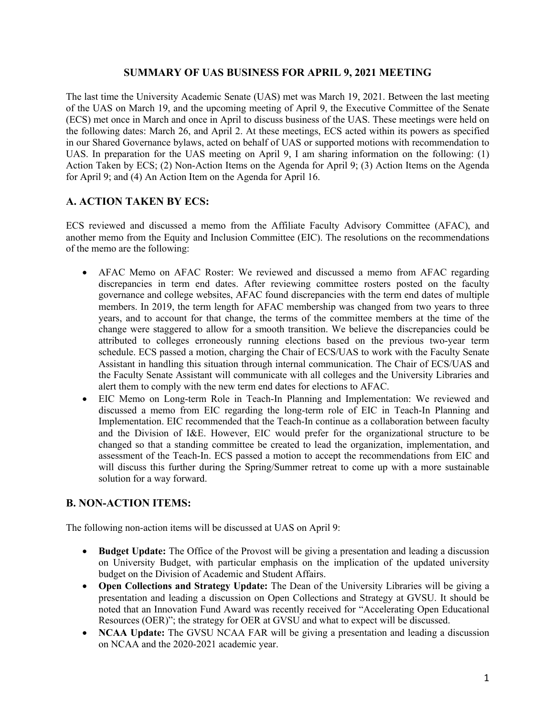#### **SUMMARY OF UAS BUSINESS FOR APRIL 9, 2021 MEETING**

The last time the University Academic Senate (UAS) met was March 19, 2021. Between the last meeting of the UAS on March 19, and the upcoming meeting of April 9, the Executive Committee of the Senate (ECS) met once in March and once in April to discuss business of the UAS. These meetings were held on the following dates: March 26, and April 2. At these meetings, ECS acted within its powers as specified in our Shared Governance bylaws, acted on behalf of UAS or supported motions with recommendation to UAS. In preparation for the UAS meeting on April 9, I am sharing information on the following: (1) Action Taken by ECS; (2) Non-Action Items on the Agenda for April 9; (3) Action Items on the Agenda for April 9; and (4) An Action Item on the Agenda for April 16.

### **A. ACTION TAKEN BY ECS:**

ECS reviewed and discussed a memo from the Affiliate Faculty Advisory Committee (AFAC), and another memo from the Equity and Inclusion Committee (EIC). The resolutions on the recommendations of the memo are the following:

- AFAC Memo on AFAC Roster: We reviewed and discussed a memo from AFAC regarding discrepancies in term end dates. After reviewing committee rosters posted on the faculty governance and college websites, AFAC found discrepancies with the term end dates of multiple members. In 2019, the term length for AFAC membership was changed from two years to three years, and to account for that change, the terms of the committee members at the time of the change were staggered to allow for a smooth transition. We believe the discrepancies could be attributed to colleges erroneously running elections based on the previous two-year term schedule. ECS passed a motion, charging the Chair of ECS/UAS to work with the Faculty Senate Assistant in handling this situation through internal communication. The Chair of ECS/UAS and the Faculty Senate Assistant will communicate with all colleges and the University Libraries and alert them to comply with the new term end dates for elections to AFAC.
- EIC Memo on Long-term Role in Teach-In Planning and Implementation: We reviewed and discussed a memo from EIC regarding the long-term role of EIC in Teach-In Planning and Implementation. EIC recommended that the Teach-In continue as a collaboration between faculty and the Division of I&E. However, EIC would prefer for the organizational structure to be changed so that a standing committee be created to lead the organization, implementation, and assessment of the Teach-In. ECS passed a motion to accept the recommendations from EIC and will discuss this further during the Spring/Summer retreat to come up with a more sustainable solution for a way forward.

#### **B. NON-ACTION ITEMS:**

The following non-action items will be discussed at UAS on April 9:

- **Budget Update:** The Office of the Provost will be giving a presentation and leading a discussion on University Budget, with particular emphasis on the implication of the updated university budget on the Division of Academic and Student Affairs.
- **Open Collections and Strategy Update:** The Dean of the University Libraries will be giving a presentation and leading a discussion on Open Collections and Strategy at GVSU. It should be noted that an Innovation Fund Award was recently received for "Accelerating Open Educational Resources (OER)"; the strategy for OER at GVSU and what to expect will be discussed.
- **NCAA Update:** The GVSU NCAA FAR will be giving a presentation and leading a discussion on NCAA and the 2020-2021 academic year.